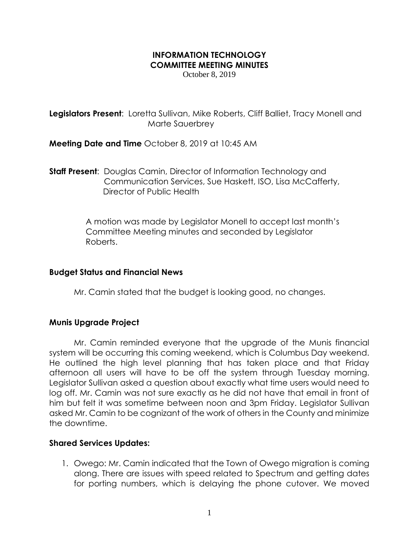# **INFORMATION TECHNOLOGY COMMITTEE MEETING MINUTES**

October 8, 2019

**Legislators Present:** Loretta Sullivan, Mike Roberts, Cliff Balliet, Tracy Monell and Marte Sauerbrey

**Meeting Date and Time** October 8, 2019 at 10:45 AM

**Staff Present**: Douglas Camin, Director of Information Technology and Communication Services, Sue Haskett, ISO, Lisa McCafferty, Director of Public Health

> A motion was made by Legislator Monell to accept last month's Committee Meeting minutes and seconded by Legislator Roberts.

### **Budget Status and Financial News**

Mr. Camin stated that the budget is looking good, no changes.

### **Munis Upgrade Project**

Mr. Camin reminded everyone that the upgrade of the Munis financial system will be occurring this coming weekend, which is Columbus Day weekend. He outlined the high level planning that has taken place and that Friday afternoon all users will have to be off the system through Tuesday morning. Legislator Sullivan asked a question about exactly what time users would need to log off. Mr. Camin was not sure exactly as he did not have that email in front of him but felt it was sometime between noon and 3pm Friday. Legislator Sullivan asked Mr. Camin to be cognizant of the work of others in the County and minimize the downtime.

### **Shared Services Updates:**

1. Owego: Mr. Camin indicated that the Town of Owego migration is coming along. There are issues with speed related to Spectrum and getting dates for porting numbers, which is delaying the phone cutover. We moved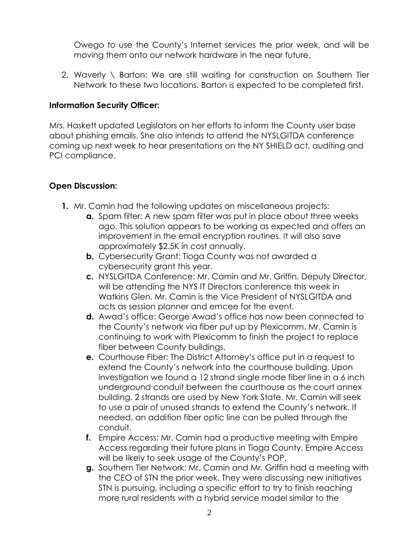Owego to use the County's Internet services the prior week, and will be moving them onto our network hardware in the near future.

2. Waverly \ Barton: We are still waiting for construction on Southern Tier Network to these two locations. Barton is expected to be completed first.

# **Information Security Officer:**

Mrs. Haskett updated Legislators on her efforts to inform the County user base about phishing emails. She also intends to attend the NYSLGITDA conference coming up next week to hear presentations on the NY SHIELD act, auditing and PCI compliance.

# **Open Discussion:**

- **1.** Mr. Camin had the following updates on miscellaneous projects:
	- **a.** Spam filter: A new spam filter was put in place about three weeks ago. This solution appears to be working as expected and offers an improvement in the email encryption routines. It will also save approximately \$2.5K in cost annually.
	- **b.** Cybersecurity Grant: Tioga County was not awarded a cybersecurity grant this year.
	- **c.** NYSLGITDA Conference: Mr. Camin and Mr. Griffin, Deputy Director, will be attending the NYS IT Directors conference this week in Watkins Glen. Mr. Camin is the Vice President of NYSLGITDA and acts as session planner and emcee for the event.
	- **d.** Awad's office: George Awad's office has now been connected to the County's network via fiber put up by Plexicomm. Mr. Camin is continuing to work with Plexicomm to finish the project to replace fiber between County buildings.
	- **e.** Courthouse Fiber: The District Attorney's office put in a request to extend the County's network into the courthouse building. Upon investigation we found a 12 strand single mode fiber line in a 6 inch underground conduit between the courthouse as the court annex building. 2 strands are used by New York State. Mr. Camin will seek to use a pair of unused strands to extend the County's network. If needed, an addition fiber optic line can be pulled through the conduit.
	- **f.** Empire Access: Mr. Camin had a productive meeting with Empire Access regarding their future plans in Tioga County. Empire Access will be likely to seek usage of the County's POP.
	- **g.** Southern Tier Network: Mr. Camin and Mr. Griffin had a meeting with the CEO of STN the prior week. They were discussing new initiatives STN is pursuing, including a specific effort to try to finish reaching more rural residents with a hybrid service model similar to the